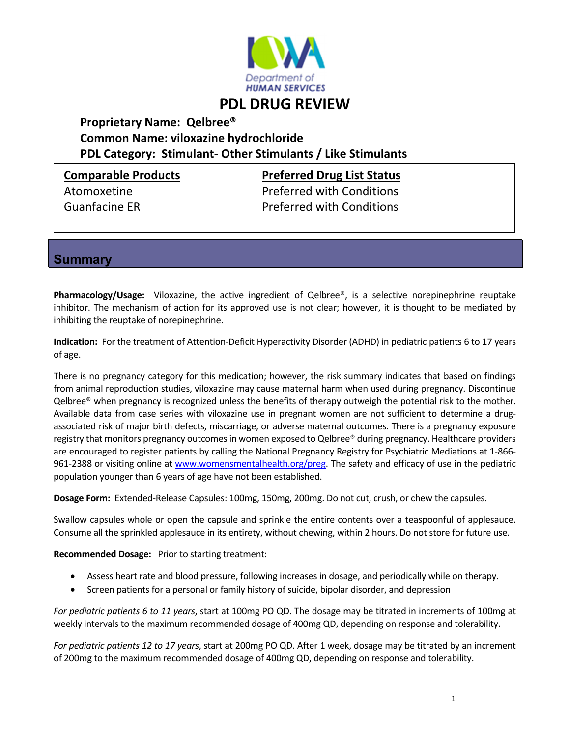

## **Proprietary Name: Qelbree® Common Name: viloxazine hydrochloride PDL Category: Stimulant‐ Other Stimulants / Like Stimulants**

**Comparable Products Preferred Drug List Status**

Atomoxetine *Preferred with Conditions* Guanfacine ER **EXECUTE:** Preferred with Conditions

**Summary** 

**Pharmacology/Usage:** Viloxazine, the active ingredient of Qelbree®, is a selective norepinephrine reuptake inhibitor. The mechanism of action for its approved use is not clear; however, it is thought to be mediated by inhibiting the reuptake of norepinephrine.

**Indication:** For the treatment of Attention‐Deficit Hyperactivity Disorder (ADHD) in pediatric patients 6 to 17 years of age.

There is no pregnancy category for this medication; however, the risk summary indicates that based on findings from animal reproduction studies, viloxazine may cause maternal harm when used during pregnancy. Discontinue Qelbree® when pregnancy is recognized unless the benefits of therapy outweigh the potential risk to the mother. Available data from case series with viloxazine use in pregnant women are not sufficient to determine a drug‐ associated risk of major birth defects, miscarriage, or adverse maternal outcomes. There is a pregnancy exposure registry that monitors pregnancy outcomes in women exposed to Qelbree® during pregnancy. Healthcare providers are encouraged to register patients by calling the National Pregnancy Registry for Psychiatric Mediations at 1‐866‐ 961-2388 or visiting online at www.womensmentalhealth.org/preg. The safety and efficacy of use in the pediatric population younger than 6 years of age have not been established.

**Dosage Form:** Extended‐Release Capsules: 100mg, 150mg, 200mg. Do not cut, crush, or chew the capsules.

Swallow capsules whole or open the capsule and sprinkle the entire contents over a teaspoonful of applesauce. Consume all the sprinkled applesauce in its entirety, without chewing, within 2 hours. Do not store for future use.

**Recommended Dosage:** Prior to starting treatment:

- Assess heart rate and blood pressure, following increases in dosage, and periodically while on therapy.
- Screen patients for a personal or family history of suicide, bipolar disorder, and depression

*For pediatric patients 6 to 11 years*, start at 100mg PO QD. The dosage may be titrated in increments of 100mg at weekly intervals to the maximum recommended dosage of 400mg QD, depending on response and tolerability.

*For pediatric patients 12 to 17 years*, start at 200mg PO QD. After 1 week, dosage may be titrated by an increment of 200mg to the maximum recommended dosage of 400mg QD, depending on response and tolerability.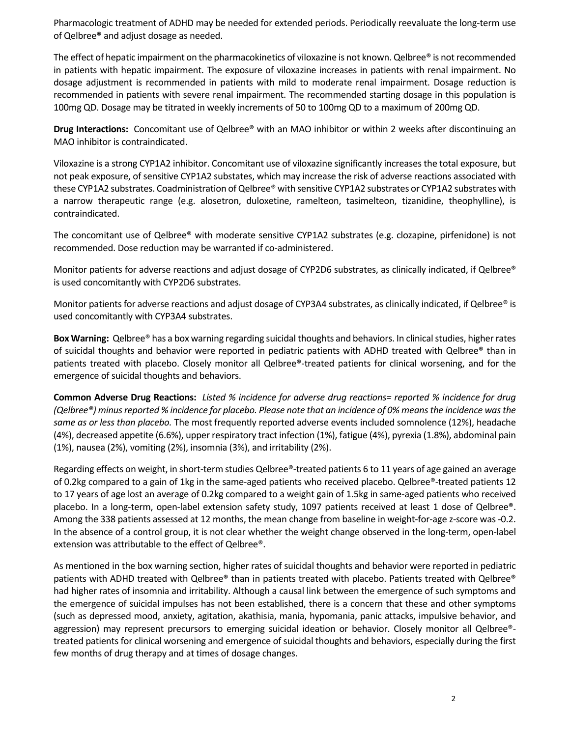Pharmacologic treatment of ADHD may be needed for extended periods. Periodically reevaluate the long-term use of Qelbree® and adjust dosage as needed.

The effect of hepatic impairment on the pharmacokinetics of viloxazine is not known. Qelbree® is not recommended in patients with hepatic impairment. The exposure of viloxazine increases in patients with renal impairment. No dosage adjustment is recommended in patients with mild to moderate renal impairment. Dosage reduction is recommended in patients with severe renal impairment. The recommended starting dosage in this population is 100mg QD. Dosage may be titrated in weekly increments of 50 to 100mg QD to a maximum of 200mg QD.

**Drug Interactions:** Concomitant use of Qelbree® with an MAO inhibitor or within 2 weeks after discontinuing an MAO inhibitor is contraindicated.

Viloxazine is a strong CYP1A2 inhibitor. Concomitant use of viloxazine significantly increases the total exposure, but not peak exposure, of sensitive CYP1A2 substates, which may increase the risk of adverse reactions associated with these CYP1A2 substrates. Coadministration of Qelbree® with sensitive CYP1A2 substrates or CYP1A2 substrates with a narrow therapeutic range (e.g. alosetron, duloxetine, ramelteon, tasimelteon, tizanidine, theophylline), is contraindicated.

The concomitant use of Qelbree® with moderate sensitive CYP1A2 substrates (e.g. clozapine, pirfenidone) is not recommended. Dose reduction may be warranted if co-administered.

Monitor patients for adverse reactions and adjust dosage of CYP2D6 substrates, as clinically indicated, if Qelbree® is used concomitantly with CYP2D6 substrates.

Monitor patients for adverse reactions and adjust dosage of CYP3A4 substrates, as clinically indicated, if Qelbree® is used concomitantly with CYP3A4 substrates.

Box Warning: Qelbree® has a box warning regarding suicidal thoughts and behaviors. In clinical studies, higher rates of suicidal thoughts and behavior were reported in pediatric patients with ADHD treated with Qelbree® than in patients treated with placebo. Closely monitor all Qelbree®-treated patients for clinical worsening, and for the emergence of suicidal thoughts and behaviors.

Common Adverse Drug Reactions: Listed % incidence for adverse drug reactions= reported % incidence for drug *(Qelbree®) minusreported % incidence for placebo. Please note that an incidence of 0% meansthe incidence wasthe same as or less than placebo.* The most frequently reported adverse events included somnolence (12%), headache (4%), decreased appetite (6.6%), upper respiratory tract infection (1%), fatigue (4%), pyrexia (1.8%), abdominal pain (1%), nausea (2%), vomiting (2%), insomnia (3%), and irritability (2%).

Regarding effects on weight, in short-term studies Qelbree®-treated patients 6 to 11 years of age gained an average of 0.2kg compared to a gain of 1kg in the same‐aged patients who received placebo. Qelbree®‐treated patients 12 to 17 years of age lost an average of 0.2kg compared to a weight gain of 1.5kg in same-aged patients who received placebo. In a long-term, open-label extension safety study, 1097 patients received at least 1 dose of Qelbree®. Among the 338 patients assessed at 12 months, the mean change from baseline in weight‐for‐age z‐score was ‐0.2. In the absence of a control group, it is not clear whether the weight change observed in the long-term, open-label extension was attributable to the effect of Qelbree®.

As mentioned in the box warning section, higher rates of suicidal thoughts and behavior were reported in pediatric patients with ADHD treated with Qelbree® than in patients treated with placebo. Patients treated with Qelbree® had higher rates of insomnia and irritability. Although a causal link between the emergence of such symptoms and the emergence of suicidal impulses has not been established, there is a concern that these and other symptoms (such as depressed mood, anxiety, agitation, akathisia, mania, hypomania, panic attacks, impulsive behavior, and aggression) may represent precursors to emerging suicidal ideation or behavior. Closely monitor all Qelbree®treated patients for clinical worsening and emergence of suicidal thoughts and behaviors, especially during the first few months of drug therapy and at times of dosage changes.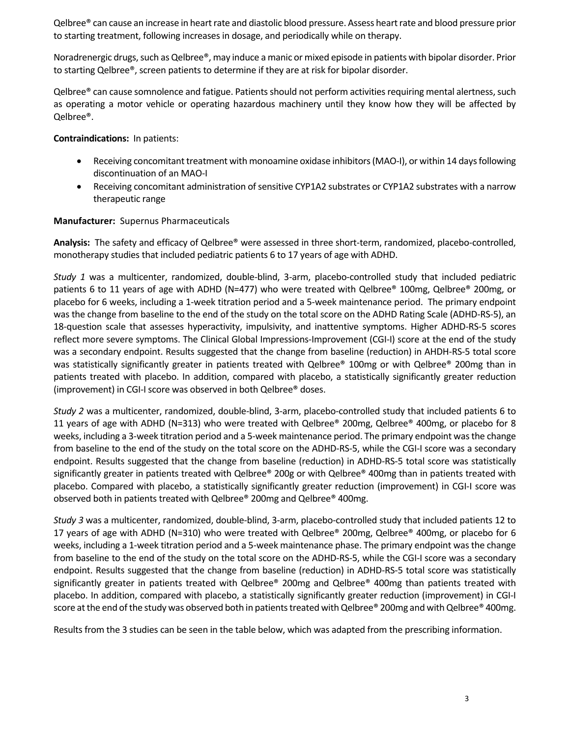Qelbree® can cause an increase in heart rate and diastolic blood pressure. Assess heart rate and blood pressure prior to starting treatment, following increases in dosage, and periodically while on therapy.

Noradrenergic drugs, such as Qelbree®, may induce a manic or mixed episode in patients with bipolar disorder. Prior to starting Qelbree®, screen patients to determine if they are at risk for bipolar disorder.

Qelbree® can cause somnolence and fatigue. Patients should not perform activities requiring mental alertness, such as operating a motor vehicle or operating hazardous machinery until they know how they will be affected by Qelbree®.

## **Contraindications:** In patients:

- Receiving concomitant treatment with monoamine oxidase inhibitors (MAO-I), or within 14 days following discontinuation of an MAO‐I
- Receiving concomitant administration of sensitive CYP1A2 substrates or CYP1A2 substrates with a narrow therapeutic range

## **Manufacturer:** Supernus Pharmaceuticals

**Analysis:** The safety and efficacy of Qelbree® were assessed in three short‐term, randomized, placebo‐controlled, monotherapy studies that included pediatric patients 6 to 17 years of age with ADHD.

*Study 1* was a multicenter, randomized, double‐blind, 3‐arm, placebo‐controlled study that included pediatric patients 6 to 11 years of age with ADHD (N=477) who were treated with Qelbree® 100mg, Qelbree® 200mg, or placebo for 6 weeks, including a 1‐week titration period and a 5‐week maintenance period. The primary endpoint was the change from baseline to the end of the study on the total score on the ADHD Rating Scale (ADHD‐RS‐5), an 18-question scale that assesses hyperactivity, impulsivity, and inattentive symptoms. Higher ADHD-RS-5 scores reflect more severe symptoms. The Clinical Global Impressions‐Improvement (CGI‐I) score at the end of the study was a secondary endpoint. Results suggested that the change from baseline (reduction) in AHDH‐RS‐5 total score was statistically significantly greater in patients treated with Qelbree® 100mg or with Qelbree® 200mg than in patients treated with placebo. In addition, compared with placebo, a statistically significantly greater reduction (improvement) in CGI‐I score was observed in both Qelbree® doses.

*Study 2* was a multicenter, randomized, double‐blind, 3‐arm, placebo‐controlled study that included patients 6 to 11 years of age with ADHD (N=313) who were treated with Qelbree® 200mg, Qelbree® 400mg, or placebo for 8 weeks, including a 3‐week titration period and a 5‐week maintenance period. The primary endpoint wasthe change from baseline to the end of the study on the total score on the ADHD‐RS‐5, while the CGI‐I score was a secondary endpoint. Results suggested that the change from baseline (reduction) in ADHD‐RS‐5 total score was statistically significantly greater in patients treated with Qelbree® 200g or with Qelbree® 400mg than in patients treated with placebo. Compared with placebo, a statistically significantly greater reduction (improvement) in CGI-I score was observed both in patients treated with Qelbree® 200mg and Qelbree® 400mg.

*Study 3* was a multicenter, randomized, double‐blind, 3‐arm, placebo‐controlled study that included patients 12 to 17 years of age with ADHD (N=310) who were treated with Qelbree® 200mg, Qelbree® 400mg, or placebo for 6 weeks, including a 1-week titration period and a 5-week maintenance phase. The primary endpoint was the change from baseline to the end of the study on the total score on the ADHD-RS-5, while the CGI-I score was a secondary endpoint. Results suggested that the change from baseline (reduction) in ADHD‐RS‐5 total score was statistically significantly greater in patients treated with Qelbree® 200mg and Qelbree® 400mg than patients treated with placebo. In addition, compared with placebo, a statistically significantly greater reduction (improvement) in CGI‐I score at the end of the study was observed both in patients treated with Qelbree® 200mg and with Qelbree® 400mg.

Results from the 3 studies can be seen in the table below, which was adapted from the prescribing information.